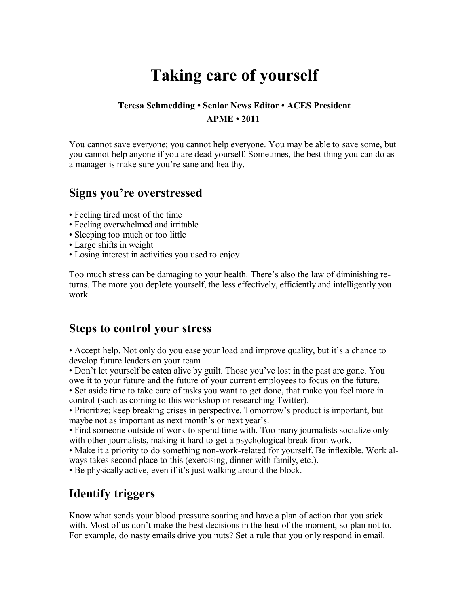# **Taking care of yourself**

#### **Teresa Schmedding • Senior News Editor • ACES President APME • 2011**

You cannot save everyone; you cannot help everyone. You may be able to save some, but you cannot help anyone if you are dead yourself. Sometimes, the best thing you can do as a manager is make sure you're sane and healthy.

#### **Signs you're overstressed**

- Feeling tired most of the time
- Feeling overwhelmed and irritable
- Sleeping too much or too little
- Large shifts in weight
- Losing interest in activities you used to enjoy

Too much stress can be damaging to your health. There's also the law of diminishing returns. The more you deplete yourself, the less effectively, efficiently and intelligently you work.

#### **Steps to control your stress**

• Accept help. Not only do you ease your load and improve quality, but it's a chance to develop future leaders on your team

• Don't let yourself be eaten alive by guilt. Those you've lost in the past are gone. You owe it to your future and the future of your current employees to focus on the future.

• Set aside time to take care of tasks you want to get done, that make you feel more in control (such as coming to this workshop or researching Twitter).

• Prioritize; keep breaking crises in perspective. Tomorrow's product is important, but maybe not as important as next month's or next year's.

• Find someone outside of work to spend time with. Too many journalists socialize only with other journalists, making it hard to get a psychological break from work.

• Make it a priority to do something non-work-related for yourself. Be inflexible. Work always takes second place to this (exercising, dinner with family, etc.).

• Be physically active, even if it's just walking around the block.

### **Identify triggers**

Know what sends your blood pressure soaring and have a plan of action that you stick with. Most of us don't make the best decisions in the heat of the moment, so plan not to. For example, do nasty emails drive you nuts? Set a rule that you only respond in email.